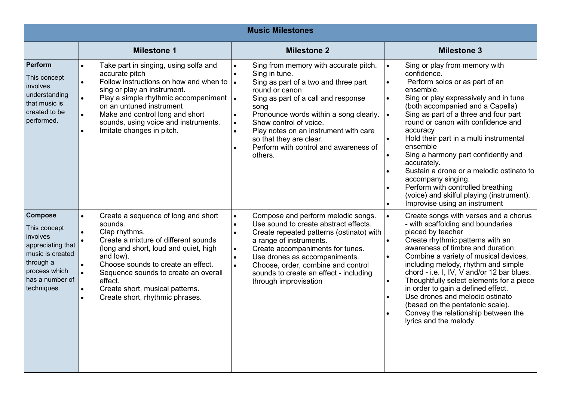| <b>Music Milestones</b>                                                                                                                             |                                                                                                                                                                                                                                                                                                                                                                                  |                                                                                                                                                                                                                                                                                                                                                                                                                 |                                                                                                                                                                                                                                                                                                                                                                                                                                                                                                                                                                                                              |  |  |
|-----------------------------------------------------------------------------------------------------------------------------------------------------|----------------------------------------------------------------------------------------------------------------------------------------------------------------------------------------------------------------------------------------------------------------------------------------------------------------------------------------------------------------------------------|-----------------------------------------------------------------------------------------------------------------------------------------------------------------------------------------------------------------------------------------------------------------------------------------------------------------------------------------------------------------------------------------------------------------|--------------------------------------------------------------------------------------------------------------------------------------------------------------------------------------------------------------------------------------------------------------------------------------------------------------------------------------------------------------------------------------------------------------------------------------------------------------------------------------------------------------------------------------------------------------------------------------------------------------|--|--|
|                                                                                                                                                     | <b>Milestone 1</b>                                                                                                                                                                                                                                                                                                                                                               | <b>Milestone 2</b>                                                                                                                                                                                                                                                                                                                                                                                              | <b>Milestone 3</b>                                                                                                                                                                                                                                                                                                                                                                                                                                                                                                                                                                                           |  |  |
| Perform<br>This concept<br>involves<br>understanding<br>that music is<br>created to be<br>performed.                                                | Take part in singing, using solfa and<br>accurate pitch<br>Follow instructions on how and when to<br>sing or play an instrument.<br>Play a simple rhythmic accompaniment $\cdot$<br>on an untuned instrument<br>Make and control long and short<br>$\bullet$<br>sounds, using voice and instruments.<br>Imitate changes in pitch.<br>$\bullet$                                   | Sing from memory with accurate pitch.<br>Sing in tune.<br>Sing as part of a two and three part<br>$\bullet$<br>round or canon<br>Sing as part of a call and response<br>song<br>Pronounce words within a song clearly.<br>$\bullet$<br>Show control of voice.<br>$\bullet$<br>Play notes on an instrument with care<br>$\bullet$<br>so that they are clear.<br>Perform with control and awareness of<br>others. | Sing or play from memory with<br>$\bullet$<br>confidence.<br>Perform solos or as part of an<br>ensemble.<br>Sing or play expressively and in tune<br>(both accompanied and a Capella)<br>Sing as part of a three and four part<br>$\bullet$<br>round or canon with confidence and<br>accuracy<br>Hold their part in a multi instrumental<br>ensemble<br>Sing a harmony part confidently and<br>accurately.<br>Sustain a drone or a melodic ostinato to<br>accompany singing.<br>Perform with controlled breathing<br>(voice) and skilful playing (instrument).<br>Improvise using an instrument<br>$\bullet$ |  |  |
| <b>Compose</b><br>This concept<br>involves<br>appreciating that<br>music is created<br>through a<br>process which<br>has a number of<br>techniques. | Create a sequence of long and short<br>sounds.<br>Clap rhythms.<br>$\bullet$<br>Create a mixture of different sounds<br>$\bullet$<br>(long and short, loud and quiet, high<br>and low).<br>Choose sounds to create an effect.<br>Sequence sounds to create an overall<br>effect.<br>Create short, musical patterns.<br>$\bullet$<br>Create short, rhythmic phrases.<br>$\bullet$ | Compose and perform melodic songs.<br>$\bullet$<br>Use sound to create abstract effects.<br>$\bullet$<br>Create repeated patterns (ostinato) with<br>$\bullet$<br>a range of instruments.<br>Create accompaniments for tunes.<br>$\bullet$<br>Use drones as accompaniments.<br>Choose, order, combine and control<br>$\bullet$<br>sounds to create an effect - including<br>through improvisation               | Create songs with verses and a chorus<br>$\bullet$<br>- with scaffolding and boundaries<br>placed by teacher<br>Create rhythmic patterns with an<br>awareness of timbre and duration.<br>Combine a variety of musical devices,<br>$\bullet$<br>including melody, rhythm and simple<br>chord - i.e. I, IV, V and/or 12 bar blues.<br>Thoughtfully select elements for a piece<br>$\bullet$<br>in order to gain a defined effect.<br>Use drones and melodic ostinato<br>(based on the pentatonic scale).<br>Convey the relationship between the<br>lyrics and the melody.                                      |  |  |